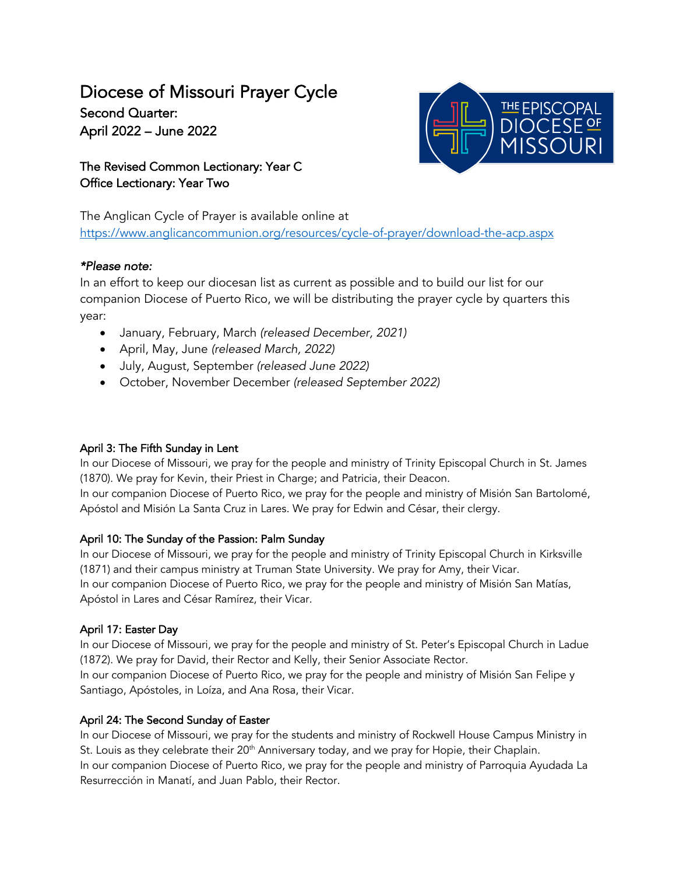# Diocese of Missouri Prayer Cycle Second Quarter: April 2022 – June 2022

The Revised Common Lectionary: Year C Office Lectionary: Year Two



The Anglican Cycle of Prayer is available online at https://www.anglicancommunion.org/resources/cycle-of-prayer/download-the-acp.aspx

# *\*Please note:*

In an effort to keep our diocesan list as current as possible and to build our list for our companion Diocese of Puerto Rico, we will be distributing the prayer cycle by quarters this year:

- January, February, March *(released December, 2021)*
- April, May, June *(released March, 2022)*
- July, August, September *(released June 2022)*
- October, November December *(released September 2022)*

# April 3: The Fifth Sunday in Lent

In our Diocese of Missouri, we pray for the people and ministry of Trinity Episcopal Church in St. James (1870). We pray for Kevin, their Priest in Charge; and Patricia, their Deacon. In our companion Diocese of Puerto Rico, we pray for the people and ministry of Misión San Bartolomé, Apóstol and Misión La Santa Cruz in Lares. We pray for Edwin and César, their clergy.

# April 10: The Sunday of the Passion: Palm Sunday

In our Diocese of Missouri, we pray for the people and ministry of Trinity Episcopal Church in Kirksville (1871) and their campus ministry at Truman State University. We pray for Amy, their Vicar. In our companion Diocese of Puerto Rico, we pray for the people and ministry of Misión San Matías, Apóstol in Lares and César Ramírez, their Vicar.

# April 17: Easter Day

In our Diocese of Missouri, we pray for the people and ministry of St. Peter's Episcopal Church in Ladue (1872). We pray for David, their Rector and Kelly, their Senior Associate Rector.

In our companion Diocese of Puerto Rico, we pray for the people and ministry of Misión San Felipe y Santiago, Apóstoles, in Loíza, and Ana Rosa, their Vicar.

# April 24: The Second Sunday of Easter

In our Diocese of Missouri, we pray for the students and ministry of Rockwell House Campus Ministry in St. Louis as they celebrate their 20<sup>th</sup> Anniversary today, and we pray for Hopie, their Chaplain. In our companion Diocese of Puerto Rico, we pray for the people and ministry of Parroquia Ayudada La Resurrección in Manatí, and Juan Pablo, their Rector.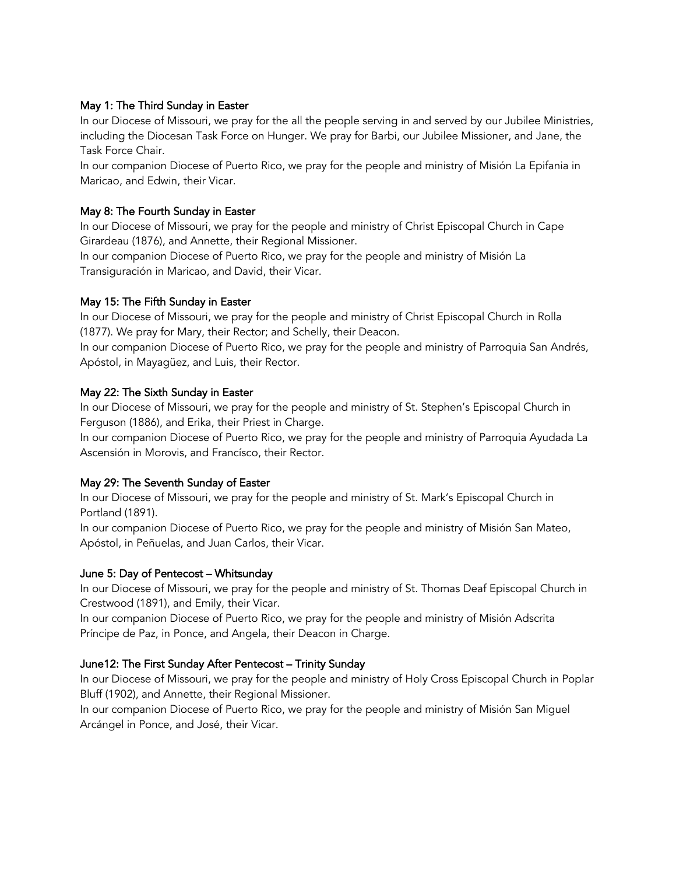#### May 1: The Third Sunday in Easter

In our Diocese of Missouri, we pray for the all the people serving in and served by our Jubilee Ministries, including the Diocesan Task Force on Hunger. We pray for Barbi, our Jubilee Missioner, and Jane, the Task Force Chair.

In our companion Diocese of Puerto Rico, we pray for the people and ministry of Misión La Epifania in Maricao, and Edwin, their Vicar.

## May 8: The Fourth Sunday in Easter

In our Diocese of Missouri, we pray for the people and ministry of Christ Episcopal Church in Cape Girardeau (1876), and Annette, their Regional Missioner.

In our companion Diocese of Puerto Rico, we pray for the people and ministry of Misión La Transiguración in Maricao, and David, their Vicar.

## May 15: The Fifth Sunday in Easter

In our Diocese of Missouri, we pray for the people and ministry of Christ Episcopal Church in Rolla (1877). We pray for Mary, their Rector; and Schelly, their Deacon.

In our companion Diocese of Puerto Rico, we pray for the people and ministry of Parroquia San Andrés, Apóstol, in Mayagüez, and Luis, their Rector.

#### May 22: The Sixth Sunday in Easter

In our Diocese of Missouri, we pray for the people and ministry of St. Stephen's Episcopal Church in Ferguson (1886), and Erika, their Priest in Charge.

In our companion Diocese of Puerto Rico, we pray for the people and ministry of Parroquia Ayudada La Ascensión in Morovis, and Francísco, their Rector.

#### May 29: The Seventh Sunday of Easter

In our Diocese of Missouri, we pray for the people and ministry of St. Mark's Episcopal Church in Portland (1891).

In our companion Diocese of Puerto Rico, we pray for the people and ministry of Misión San Mateo, Apóstol, in Peñuelas, and Juan Carlos, their Vicar.

#### June 5: Day of Pentecost – Whitsunday

In our Diocese of Missouri, we pray for the people and ministry of St. Thomas Deaf Episcopal Church in Crestwood (1891), and Emily, their Vicar.

In our companion Diocese of Puerto Rico, we pray for the people and ministry of Misión Adscrita Príncipe de Paz, in Ponce, and Angela, their Deacon in Charge.

# June12: The First Sunday After Pentecost – Trinity Sunday

In our Diocese of Missouri, we pray for the people and ministry of Holy Cross Episcopal Church in Poplar Bluff (1902), and Annette, their Regional Missioner.

In our companion Diocese of Puerto Rico, we pray for the people and ministry of Misión San Miguel Arcángel in Ponce, and José, their Vicar.